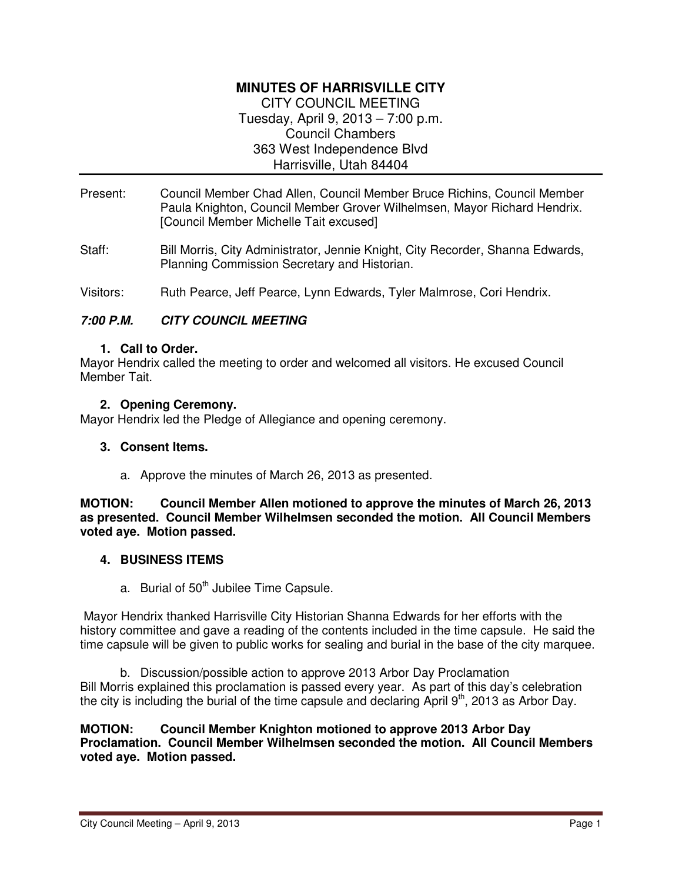# **MINUTES OF HARRISVILLE CITY**  CITY COUNCIL MEETING Tuesday, April 9, 2013 – 7:00 p.m. Council Chambers 363 West Independence Blvd Harrisville, Utah 84404

- Present: Council Member Chad Allen, Council Member Bruce Richins, Council Member Paula Knighton, Council Member Grover Wilhelmsen, Mayor Richard Hendrix. [Council Member Michelle Tait excused]
- Staff: Bill Morris, City Administrator, Jennie Knight, City Recorder, Shanna Edwards, Planning Commission Secretary and Historian.
- Visitors: Ruth Pearce, Jeff Pearce, Lynn Edwards, Tyler Malmrose, Cori Hendrix.

## **7:00 P.M. CITY COUNCIL MEETING**

#### **1. Call to Order.**

Mayor Hendrix called the meeting to order and welcomed all visitors. He excused Council Member Tait.

#### **2. Opening Ceremony.**

Mayor Hendrix led the Pledge of Allegiance and opening ceremony.

#### **3. Consent Items.**

a. Approve the minutes of March 26, 2013 as presented.

#### **MOTION: Council Member Allen motioned to approve the minutes of March 26, 2013 as presented. Council Member Wilhelmsen seconded the motion. All Council Members voted aye. Motion passed.**

#### **4. BUSINESS ITEMS**

a. Burial of  $50<sup>th</sup>$  Jubilee Time Capsule.

 Mayor Hendrix thanked Harrisville City Historian Shanna Edwards for her efforts with the history committee and gave a reading of the contents included in the time capsule. He said the time capsule will be given to public works for sealing and burial in the base of the city marquee.

b. Discussion/possible action to approve 2013 Arbor Day Proclamation Bill Morris explained this proclamation is passed every year. As part of this day's celebration the city is including the burial of the time capsule and declaring April  $9<sup>th</sup>$ , 2013 as Arbor Day.

**MOTION: Council Member Knighton motioned to approve 2013 Arbor Day Proclamation. Council Member Wilhelmsen seconded the motion. All Council Members voted aye. Motion passed.**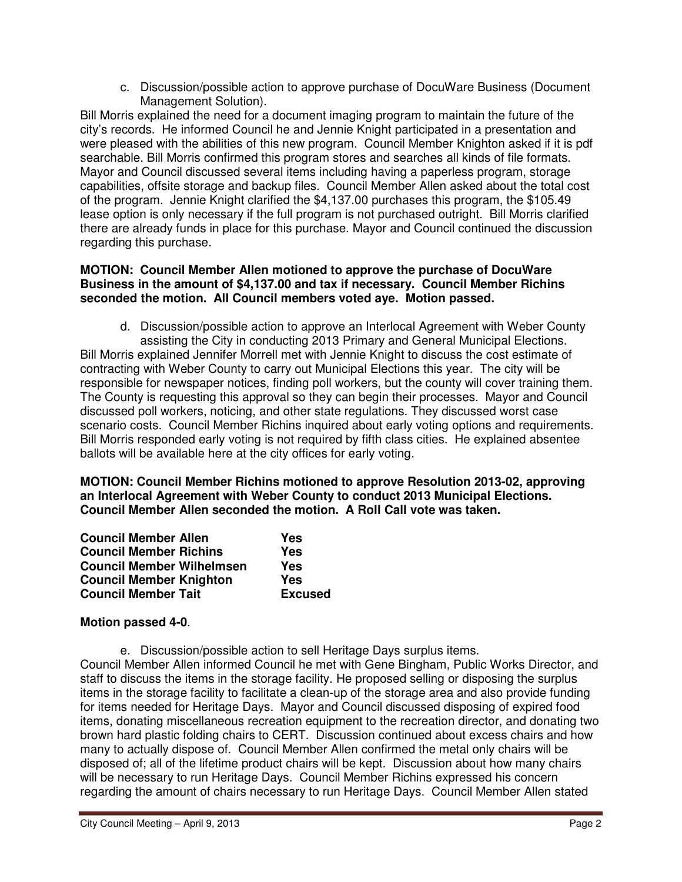c. Discussion/possible action to approve purchase of DocuWare Business (Document Management Solution).

Bill Morris explained the need for a document imaging program to maintain the future of the city's records. He informed Council he and Jennie Knight participated in a presentation and were pleased with the abilities of this new program. Council Member Knighton asked if it is pdf searchable. Bill Morris confirmed this program stores and searches all kinds of file formats. Mayor and Council discussed several items including having a paperless program, storage capabilities, offsite storage and backup files. Council Member Allen asked about the total cost of the program. Jennie Knight clarified the \$4,137.00 purchases this program, the \$105.49 lease option is only necessary if the full program is not purchased outright. Bill Morris clarified there are already funds in place for this purchase. Mayor and Council continued the discussion regarding this purchase.

## **MOTION: Council Member Allen motioned to approve the purchase of DocuWare Business in the amount of \$4,137.00 and tax if necessary. Council Member Richins seconded the motion. All Council members voted aye. Motion passed.**

d. Discussion/possible action to approve an Interlocal Agreement with Weber County assisting the City in conducting 2013 Primary and General Municipal Elections. Bill Morris explained Jennifer Morrell met with Jennie Knight to discuss the cost estimate of contracting with Weber County to carry out Municipal Elections this year. The city will be responsible for newspaper notices, finding poll workers, but the county will cover training them. The County is requesting this approval so they can begin their processes. Mayor and Council discussed poll workers, noticing, and other state regulations. They discussed worst case scenario costs. Council Member Richins inquired about early voting options and requirements. Bill Morris responded early voting is not required by fifth class cities. He explained absentee ballots will be available here at the city offices for early voting.

**MOTION: Council Member Richins motioned to approve Resolution 2013-02, approving an Interlocal Agreement with Weber County to conduct 2013 Municipal Elections. Council Member Allen seconded the motion. A Roll Call vote was taken.** 

| <b>Council Member Allen</b>      | Yes            |
|----------------------------------|----------------|
| <b>Council Member Richins</b>    | Yes            |
| <b>Council Member Wilhelmsen</b> | Yes            |
| <b>Council Member Knighton</b>   | Yes            |
| <b>Council Member Tait</b>       | <b>Excused</b> |

# **Motion passed 4-0**.

e. Discussion/possible action to sell Heritage Days surplus items. Council Member Allen informed Council he met with Gene Bingham, Public Works Director, and staff to discuss the items in the storage facility. He proposed selling or disposing the surplus items in the storage facility to facilitate a clean-up of the storage area and also provide funding for items needed for Heritage Days. Mayor and Council discussed disposing of expired food items, donating miscellaneous recreation equipment to the recreation director, and donating two brown hard plastic folding chairs to CERT. Discussion continued about excess chairs and how many to actually dispose of. Council Member Allen confirmed the metal only chairs will be disposed of; all of the lifetime product chairs will be kept. Discussion about how many chairs will be necessary to run Heritage Days. Council Member Richins expressed his concern regarding the amount of chairs necessary to run Heritage Days. Council Member Allen stated